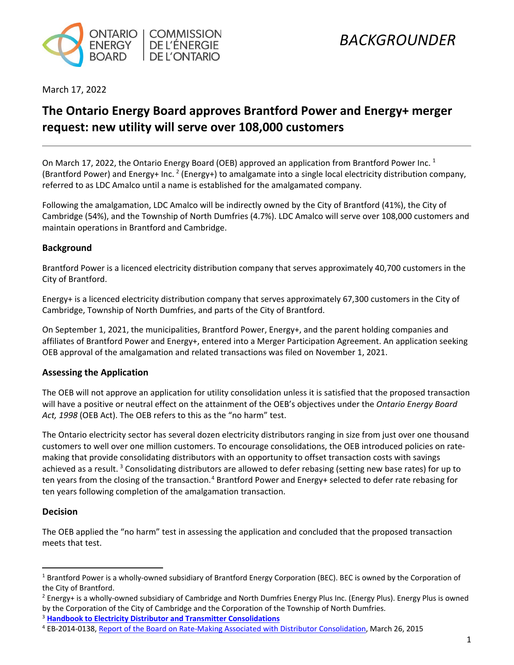

March 17, 2022

### **The Ontario Energy Board approves Brantford Power and Energy+ merger request: new utility will serve over 108,000 customers**

On March [1](#page-0-0)7, 2022, the Ontario Energy Board (OEB) approved an application from Brantford Power Inc.<sup>1</sup> (Brantford Power) and Energy+ Inc. <sup>[2](#page-0-1)</sup> (Energy+) to amalgamate into a single local electricity distribution company, referred to as LDC Amalco until a name is established for the amalgamated company.

Following the amalgamation, LDC Amalco will be indirectly owned by the City of Brantford (41%), the City of Cambridge (54%), and the Township of North Dumfries (4.7%). LDC Amalco will serve over 108,000 customers and maintain operations in Brantford and Cambridge.

### **Background**

Brantford Power is a licenced electricity distribution company that serves approximately 40,700 customers in the City of Brantford.

Energy+ is a licenced electricity distribution company that serves approximately 67,300 customers in the City of Cambridge, Township of North Dumfries, and parts of the City of Brantford.

On September 1, 2021, the municipalities, Brantford Power, Energy+, and the parent holding companies and affiliates of Brantford Power and Energy+, entered into a Merger Participation Agreement. An application seeking OEB approval of the amalgamation and related transactions was filed on November 1, 2021.

### **Assessing the Application**

The OEB will not approve an application for utility consolidation unless it is satisfied that the proposed transaction will have a positive or neutral effect on the attainment of the OEB's objectives under the *Ontario Energy Board Act, 1998* (OEB Act). The OEB refers to this as the "no harm" test.

The Ontario electricity sector has several dozen electricity distributors ranging in size from just over one thousand customers to well over one million customers. To encourage consolidations, the OEB introduced policies on ratemaking that provide consolidating distributors with an opportunity to offset transaction costs with savings achieved as a result.<sup>[3](#page-0-2)</sup> Consolidating distributors are allowed to defer rebasing (setting new base rates) for up to ten years from the closing of the transaction.<sup>[4](#page-0-3)</sup> Brantford Power and Energy+ selected to defer rate rebasing for ten years following completion of the amalgamation transaction.

### **Decision**

The OEB applied the "no harm" test in assessing the application and concluded that the proposed transaction meets that test.

<span id="page-0-2"></span><sup>3</sup> **Handbook [to Electricity Distributor and Transmitter Consolidations](https://www.oeb.ca/oeb/_Documents/Regulatory/OEB_Handbook_Consolidation.pdf)**

<span id="page-0-0"></span><sup>1</sup> Brantford Power is a wholly-owned subsidiary of Brantford Energy Corporation (BEC). BEC is owned by the Corporation of the City of Brantford.

<span id="page-0-1"></span><sup>2</sup> Energy+ is a wholly-owned subsidiary of Cambridge and North Dumfries Energy Plus Inc. (Energy Plus). Energy Plus is owned by the Corporation of the City of Cambridge and the Corporation of the Township of North Dumfries.

<span id="page-0-3"></span><sup>4</sup> EB-2014-0138[, Report of the Board on Rate-Making Associated with Distributor Consolidation,](https://www.oeb.ca/oeb/_Documents/EB-2014-0138/Board_Report_MAADs_Ratemaking_20150326.pdf) March 26, 2015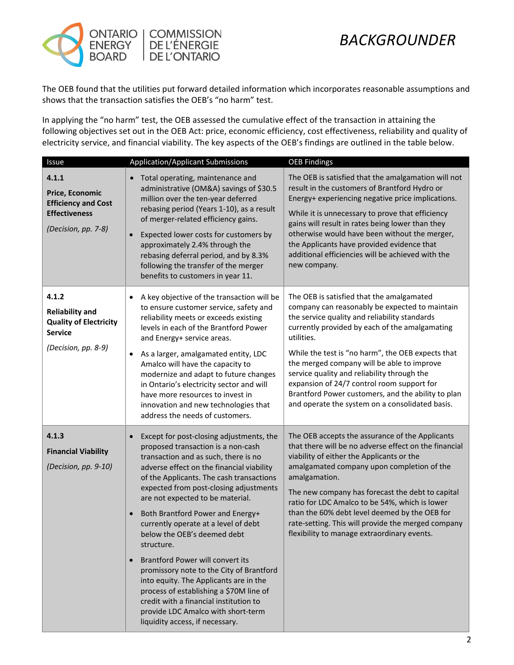

# *BACKGROUNDER*

The OEB found that the utilities put forward detailed information which incorporates reasonable assumptions and shows that the transaction satisfies the OEB's "no harm" test.

In applying the "no harm" test, the OEB assessed the cumulative effect of the transaction in attaining the following objectives set out in the OEB Act: price, economic efficiency, cost effectiveness, reliability and quality of electricity service, and financial viability. The key aspects of the OEB's findings are outlined in the table below.

| Issue                                                                                                     | <b>Application/Applicant Submissions</b>                                                                                                                                                                                                                                                                                                                                                                                                                                                                                                                                                                                                                                                                                                                     | <b>OEB Findings</b>                                                                                                                                                                                                                                                                                                                                                                                                                                                                                                   |
|-----------------------------------------------------------------------------------------------------------|--------------------------------------------------------------------------------------------------------------------------------------------------------------------------------------------------------------------------------------------------------------------------------------------------------------------------------------------------------------------------------------------------------------------------------------------------------------------------------------------------------------------------------------------------------------------------------------------------------------------------------------------------------------------------------------------------------------------------------------------------------------|-----------------------------------------------------------------------------------------------------------------------------------------------------------------------------------------------------------------------------------------------------------------------------------------------------------------------------------------------------------------------------------------------------------------------------------------------------------------------------------------------------------------------|
| 4.1.1<br>Price, Economic<br><b>Efficiency and Cost</b><br><b>Effectiveness</b><br>(Decision, pp. 7-8)     | Total operating, maintenance and<br>administrative (OM&A) savings of \$30.5<br>million over the ten-year deferred<br>rebasing period (Years 1-10), as a result<br>of merger-related efficiency gains.<br>Expected lower costs for customers by<br>$\bullet$<br>approximately 2.4% through the<br>rebasing deferral period, and by 8.3%<br>following the transfer of the merger<br>benefits to customers in year 11.                                                                                                                                                                                                                                                                                                                                          | The OEB is satisfied that the amalgamation will not<br>result in the customers of Brantford Hydro or<br>Energy+ experiencing negative price implications.<br>While it is unnecessary to prove that efficiency<br>gains will result in rates being lower than they<br>otherwise would have been without the merger,<br>the Applicants have provided evidence that<br>additional efficiencies will be achieved with the<br>new company.                                                                                 |
| 4.1.2<br><b>Reliability and</b><br><b>Quality of Electricity</b><br><b>Service</b><br>(Decision, pp. 8-9) | A key objective of the transaction will be<br>$\bullet$<br>to ensure customer service, safety and<br>reliability meets or exceeds existing<br>levels in each of the Brantford Power<br>and Energy+ service areas.<br>As a larger, amalgamated entity, LDC<br>$\bullet$<br>Amalco will have the capacity to<br>modernize and adapt to future changes<br>in Ontario's electricity sector and will<br>have more resources to invest in<br>innovation and new technologies that<br>address the needs of customers.                                                                                                                                                                                                                                               | The OEB is satisfied that the amalgamated<br>company can reasonably be expected to maintain<br>the service quality and reliability standards<br>currently provided by each of the amalgamating<br>utilities.<br>While the test is "no harm", the OEB expects that<br>the merged company will be able to improve<br>service quality and reliability through the<br>expansion of 24/7 control room support for<br>Brantford Power customers, and the ability to plan<br>and operate the system on a consolidated basis. |
| 4.1.3<br><b>Financial Viability</b><br>(Decision, pp. 9-10)                                               | Except for post-closing adjustments, the<br>$\bullet$<br>proposed transaction is a non-cash<br>transaction and as such, there is no<br>adverse effect on the financial viability<br>of the Applicants. The cash transactions<br>expected from post-closing adjustments<br>are not expected to be material.<br>Both Brantford Power and Energy+<br>$\bullet$<br>currently operate at a level of debt<br>below the OEB's deemed debt<br>structure.<br><b>Brantford Power will convert its</b><br>$\bullet$<br>promissory note to the City of Brantford<br>into equity. The Applicants are in the<br>process of establishing a \$70M line of<br>credit with a financial institution to<br>provide LDC Amalco with short-term<br>liquidity access, if necessary. | The OEB accepts the assurance of the Applicants<br>that there will be no adverse effect on the financial<br>viability of either the Applicants or the<br>amalgamated company upon completion of the<br>amalgamation.<br>The new company has forecast the debt to capital<br>ratio for LDC Amalco to be 54%, which is lower<br>than the 60% debt level deemed by the OEB for<br>rate-setting. This will provide the merged company<br>flexibility to manage extraordinary events.                                      |